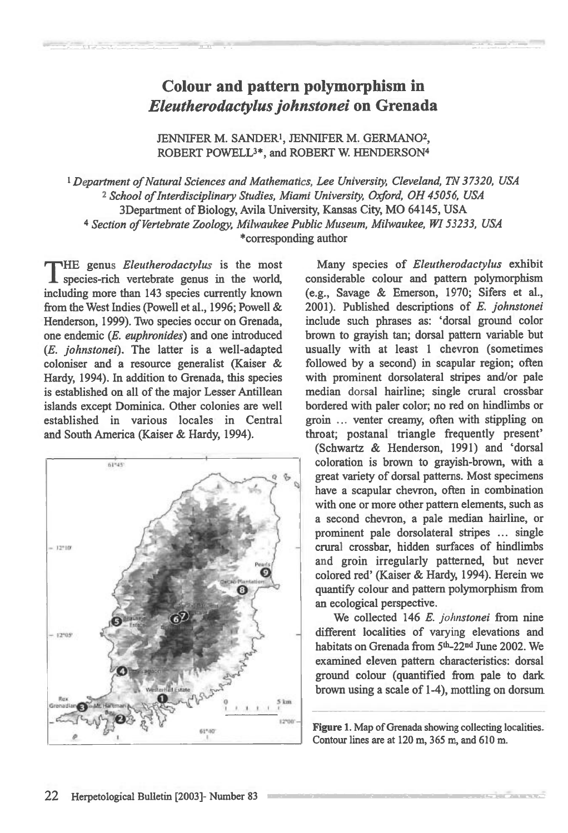## **Colour and pattern polymorphism in**  *Eleutherodactylus johnstonei* **on Grenada**

## JENNIFER M. SANDER', JENNIFER M. GERMANO2, ROBERT POWELL3\*, and ROBERT W. HENDERSON4

*Department of Natural Sciences and Mathematics, Lee University, Cleveland, 7N 37320, USA*  **<sup>2</sup>***School of Interdisciplinary Studies, Miami University, Oxford, OH 45056, USA*  3Department of Biology, Avila University, Kansas City, MO 64145, USA **4** *Section of Vertebrate Zoology, Milwaukee Public Museum, Milwaukee, WI 53233, USA*  \*corresponding author

THE genus *Eleutherodactylus* is the most species-rich vertebrate genus in the world, HE genus *Eleutherodactylus* is the most including more than 143 species currently known from the West Indies (Powell et al., 1996; Powell & Henderson, 1999). Two species occur on Grenada, one endemic *(E. euphronides)* and one introduced *(E. johnstonei).* The latter is a well-adapted coloniser and a resource generalist (Kaiser & Hardy, 1994). In addition to Grenada, this species is established on all of the major Lesser Antillean islands except Dominica. Other colonies are well established in various locales in Central and South America (Kaiser & Hardy, 1994).



Many species of *Eleutherodactylus* exhibit considerable colour and pattern polymorphism (e.g., Savage & Emerson, 1970; Sifers et al., 2001). Published descriptions of *E. johnstonei*  include such phrases as: 'dorsal ground color brown to grayish tan; dorsal pattern variable but usually with at least 1 chevron (sometimes followed by a second) in scapular region; often with prominent dorsolateral stripes and/or pale median dorsal hairline; single crural crossbar bordered with paler color; no red on hindlimbs or groin ... venter creamy, often with stippling on throat; postanal triangle frequently present'

(Schwartz & Henderson, 1991) and 'dorsal coloration is brown to grayish-brown, with a great variety of dorsal patterns. Most specimens have a scapular chevron, often in combination with one or more other pattern elements, such as a second chevron, a pale median hairline, or prominent pale dorsolateral stripes ... single crural crossbar, hidden surfaces of hindlimbs and groin irregularly patterned, but never colored red' (Kaiser & Hardy, 1994). Herein we quantify colour and pattern polymorphism from an ecological perspective.

We collected 146 *E. johnstonei* from nine different localities of varying elevations and habitats on Grenada from 5th-22<sup>nd</sup> June 2002. We examined eleven pattern characteristics: dorsal ground colour (quantified from pale to dark brown using a scale of 1-4), mottling on dorsum

Figure 1. Map of Grenada showing collecting localities. Contour lines are at 120 m, 365 m, and 610 m.

**Contract Contract**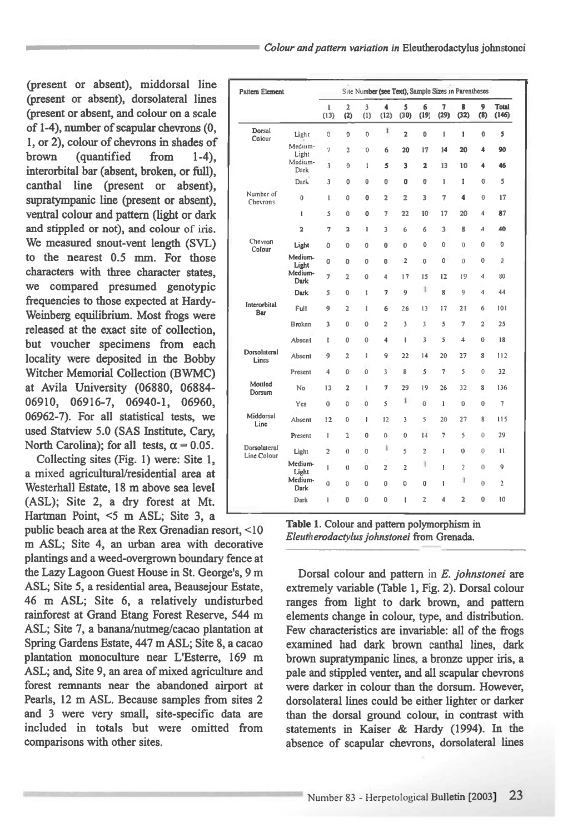*Colour and pattern variation in Eleutherodactylus johnstonei* 

**(present or absent), middorsal line (present or absent), dorsolateral lines (present or absent, and colour on a scale of 1-4), number of scapular chevrons (0, 1, or 2), colour of chevrons in shades of brown (quantified from 1-4), interorbital bar (absent, broken, or full), canthal line (present or absent), supratympanic line (present or absent), ventral colour and pattern (light or dark and stippled or not), and colour of iris. We measured snout-vent length (SVL) to the nearest 0.5 mm. For those characters with three character states, we compared presumed genotypic frequencies to those expected at Hardy-Weinberg equilibrium. Most frogs were released at the exact site of collection, but voucher specimens from each locality were deposited in the Bobby Witcher Memorial Collection (BWMC) at Avila University (06880, 06884- 06910, 06916-7, 06940-1, 06960, 06962-7). For all statistical tests, we used Statview 5.0 (SAS Institute, Cary,**  North Carolina); for all tests,  $\alpha = 0.05$ .

**Collecting sites (Fig. 1) were: Site 1, a mixed agricultural/residential area at Westerhall Estate, 18 m above sea level (ASL); Site 2, a dry forest at Mt. Hartman Point, <5 m ASL; Site 3, a** 

**public beach area at the Rex Grenadian resort, <10 m ASL; Site 4, an urban area with decorative plantings and a weed-overgrown boundary fence at the Lazy Lagoon Guest House in St. George's, 9 m ASL; Site 5, a residential area, Beausejour Estate, 46 m ASL; Site 6, a relatively undisturbed rainforest at Grand Etang Forest Reserve, 544 m ASL; Site 7, a banana/nutmeg/cacao plantation at Spring Gardens Estate, 447 m ASL; Site 8, a cacao plantation monoculture near L'Esterre, 169 m ASL; and, Site 9, an area of mixed agriculture and forest remnants near the abandoned airport at Pearls, 12 m ASL. Because samples from sites 2 and 3 were very small, site-specific data are included in totals but were omitted from comparisons with other sites.** 

| <b>Pattern Element</b>      |                  | Site Number (see Text), Sample Sizes in Parentheses |                         |                |                     |                |                |                |                |                   |                       |
|-----------------------------|------------------|-----------------------------------------------------|-------------------------|----------------|---------------------|----------------|----------------|----------------|----------------|-------------------|-----------------------|
|                             |                  | L<br>(13)                                           | $\overline{2}$<br>(2)   | 3<br>(1)       | 4<br>(12)           | 5<br>(30)      | 6<br>(19)      | 7<br>(29)      | 8<br>(32)      | 9<br>(8)          | <b>Total</b><br>(146) |
| Dorsal<br>Colour            | Light            | O.                                                  | 0                       | $\theta$       | 1                   | $\overline{2}$ | o              | $\mathbf{I}$   | ï              | $\mathbf{0}$      | s                     |
|                             | Medium-<br>Light | 7                                                   | $\overline{2}$          | $\mathbf{0}$   | 6                   | 20             | 17             | 14             | 20             | 4                 | 90                    |
|                             | Medium-<br>Dark  | 3                                                   | $\theta$                | 1              | 5                   | 3              | $\overline{2}$ | 13             | 10             | 4                 | 46                    |
|                             | Dark             | 3                                                   | 0                       | $\bf{0}$       | 0                   | 0              | O              | ı              | 1              | 0                 | 5                     |
| Number of<br>Chevrons       | $\mathbf 0$      | t                                                   | Ō                       | 0              | $\overline{2}$      | $\overline{2}$ | 3              | 7              | 4              | $\bf{0}$          | 17                    |
|                             | t                | 5                                                   | 0                       | 0              | 7                   | 22             | 10             | 17             | 20             | 4                 | 87                    |
|                             | $\overline{2}$   | 7                                                   | $\overline{2}$          | 1              | 3                   | 6              | 6              | 3              | $\mathbf{R}$   | $\boldsymbol{A}$  | 40                    |
| Chevron<br>Colour           | Light            | 0                                                   | 0                       | 0              | $\mathbf{0}$        | $\mathbf{0}$   | $\Omega$       | $\theta$       | $\ddot{0}$     | $\theta$          | 0                     |
|                             | Medium-<br>Light | $\mathbf 0$                                         | 0                       | 0              | o                   | $\overline{2}$ | 0              | 0              | $\mathbf 0$    | $\bf{0}$          | $\overline{2}$        |
|                             | Medium-<br>Dark  | 7                                                   | $\overline{2}$          | 0              | 4                   | 17             | 15             | 12             | 19             | $\overline{4}$    | 80                    |
|                             | Dark             | 5                                                   | Ō                       | I.             | 7                   | 9              | t              | 8              | 9              | 4                 | 44                    |
| Interorbital<br>Bar         | Full             | 9                                                   | $\overline{2}$          | $\mathbf{1}$   | 6                   | 26             | 13             | 17             | 21             | 6                 | 101                   |
|                             | Broken           | 3                                                   | 0                       | $\bf{0}$       | $\overline{2}$      | 3              | 3              | 5              | 7              | $\overline{a}$    | 25                    |
|                             | Absent           | t                                                   | $\mathbf 0$             | $\bf{0}$       | $\overline{\bf{4}}$ | t              | 3              | 5              | 4              | $\mathbf{0}$      | 18                    |
| Dorsolateral<br>Lines       | Absent           | 9                                                   | $\overline{2}$          | T              | 9                   | 22             | 14             | 20             | 27             | 8                 | 112                   |
|                             | Present          | 4                                                   | 0                       | 0              | 3                   | 8              | 5              | $\overline{1}$ | 5              | $\ddot{\text{o}}$ | 32                    |
| Mottled<br>Dorsum           | No               | 13                                                  | $\overline{\mathbf{c}}$ | Ĭ.             | 7                   | 29             | 19             | 26             | 32             | 8                 | 136                   |
|                             | Yes              | 0                                                   | 0                       | $\Omega$       | 5                   | ï              | 0              | ī              | 0              | 0                 | $\overline{7}$        |
| Middorsal<br>Line           | Absent           | 12                                                  | 0                       | $\mathbf{I}$   | 12                  | 3              | 5              | 20             | 27             | 8                 | 115                   |
|                             | Present          | ı                                                   | $\overline{2}$          | 0              | 0                   | 0              | 1.1            | $\overline{7}$ | 5              | 0                 | 29                    |
| Dorsolateral<br>Line Colour | Light            | $\overline{2}$                                      | $\theta$                | $\Omega$       | ı                   | 5              | $\overline{2}$ | ı              | $\bf{0}$       | 0                 | $\overline{11}$       |
|                             | Medium-<br>Light | I                                                   | $\theta$                | $\overline{0}$ | $\overline{2}$      | $\overline{2}$ | ١              | ł              | $\overline{2}$ | 0                 | 9                     |
|                             | Medium-<br>Dark  | 0                                                   | 0                       | 0              | 0                   | $\bf{0}$       | 0              | 1              | $\,1$          | $\theta$          | $\overline{2}$        |
|                             | Dark             | ı                                                   | 0                       | 0              | 0                   | t              | $\overline{2}$ | 4              | $\overline{2}$ | ō                 | 10                    |

**Table 1. Colour and pattern polymorphism in**  *Eleutherodactylus johnstonei* **from Grenada.** 

**Dorsal colour and pattern in** *E. johnstonei are*  **extremely variable (Table 1, Fig. 2). Dorsal colour ranges from light to dark brown, and pattern elements change in colour, type, and distribution. Few characteristics are invariable: all of the frogs examined had dark brown canthal lines, dark brown supratympanic lines, a bronze upper iris, a pale and stippled venter, and all scapular chevrons were darker in colour than the dorsum. However, dorsolateral lines could be either lighter or darker than the dorsal ground colour, in contrast with statements in Kaiser & Hardy (1994). In the absence of scapular chevrons, dorsolateral lines**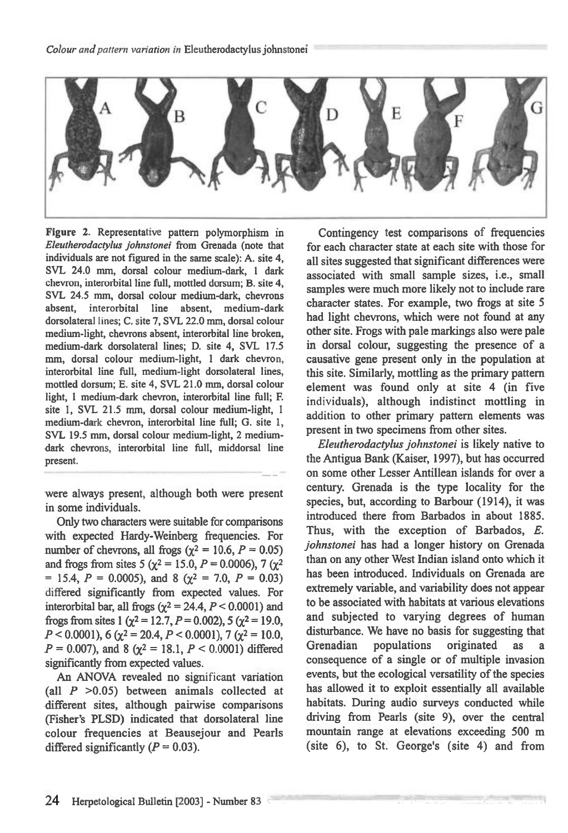**Figure 2. Representative pattern polymorphism in**  *Eleutherodactylus johnstonei* **from Grenada (note that individuals are not figured in the same scale): A. site 4, SVL 24.0 mm, dorsal colour medium-dark, 1 dark chevron, interorbital line full, mottled dorsum; B. site 4, SVL 24.5 mm, dorsal colour medium-dark, chevrons absent, interorbital line absent, medium-dark dorsolateral lines; C. site 7, SVL 22.0 mm, dorsal colour medium-light, chevrons absent, interorbital line broken, medium-dark dorsolateral lines; D. site 4, SVL 17.5 mm, dorsal colour medium-light, 1 dark chevron, interorbital line full, medium-light dorsolateral lines, mottled dorsum; E. site 4, SVL 21.0 mm, dorsal colour light, 1 medium-dark chevron, interorbital line full; F. site 1, SVL 21.5 mm, dorsal colour medium-light, 1 medium-dark chevron, interorbital line full; G. site 1, SVL 19.5 mm, dorsal colour medium-light, 2 mediumdark chevrons, interorbital line full, middorsal line present.** 

**were always present,** although both were present in some individuals.

Only two characters were suitable for comparisons with expected Hardy-Weinberg frequencies. For number of chevrons, all frogs  $(\chi^2 = 10.6, P = 0.05)$ and frogs from sites 5 ( $\chi^2 = 15.0$ ,  $P = 0.0006$ ), 7 ( $\chi^2$ )  $= 15.4, P = 0.0005$ , and 8 ( $\chi^2 = 7.0, P = 0.03$ ) differed significantly from expected values. For interorbital bar, all frogs  $(\chi^2 = 24.4, P < 0.0001)$  and frogs from sites 1 ( $\chi^2$  = 12.7, *P* = 0.002), 5 ( $\chi^2$  = 19.0,  $P < 0.0001$ ), 6 ( $\chi^2 = 20.4$ ,  $P < 0.0001$ ), 7 ( $\chi^2 = 10.0$ ,  $P = 0.007$ , and 8 ( $\chi^2 = 18.1$ ,  $P < 0.0001$ ) differed significantly from expected values.

An ANOVA revealed no significant variation (all *P* >0.05) between animals collected at different sites, although pairwise comparisons (Fisher's PLSD) indicated that dorsolateral line colour frequencies at Beausejour and Pearls differed significantly  $(P = 0.03)$ .

Contingency test comparisons of frequencies for each character state at each site with those for all sites suggested that significant differences were associated with small sample sizes, i.e., small samples were much more likely not to include rare character states. For example, two frogs at site 5 had light chevrons, which were not found at any other site. Frogs with pale markings also were pale in dorsal colour, suggesting the presence of a causative gene present only in the population at this site. Similarly, mottling as the primary pattern element was found only at site 4 (in five individuals), although indistinct mottling in addition to other primary pattern elements was present in two specimens from other sites.

*Eleutherodactylus johnstonei* is likely native to the Antigua Bank (Kaiser, 1997), but has occurred on some other Lesser Antillean islands for over a century. Grenada is the type locality for the species, but, according to Barbour (1914), it was introduced there from Barbados in about 1885. Thus, with the exception of Barbados, *E. johnstonei* has had a longer history on Grenada than on any other West Indian island onto which it has been introduced. Individuals on Grenada are extremely variable, and variability does not appear to be associated with habitats at various elevations and subjected to varying degrees of human disturbance. We have no basis for suggesting that Grenadian populations originated as a consequence of a single or of multiple invasion events, but the ecological versatility of the species has allowed it to exploit essentially all available habitats. During audio surveys conducted while driving from Pearls (site 9), over the central mountain range at elevations exceeding 500 m (site 6), to St. George's (site 4) and from